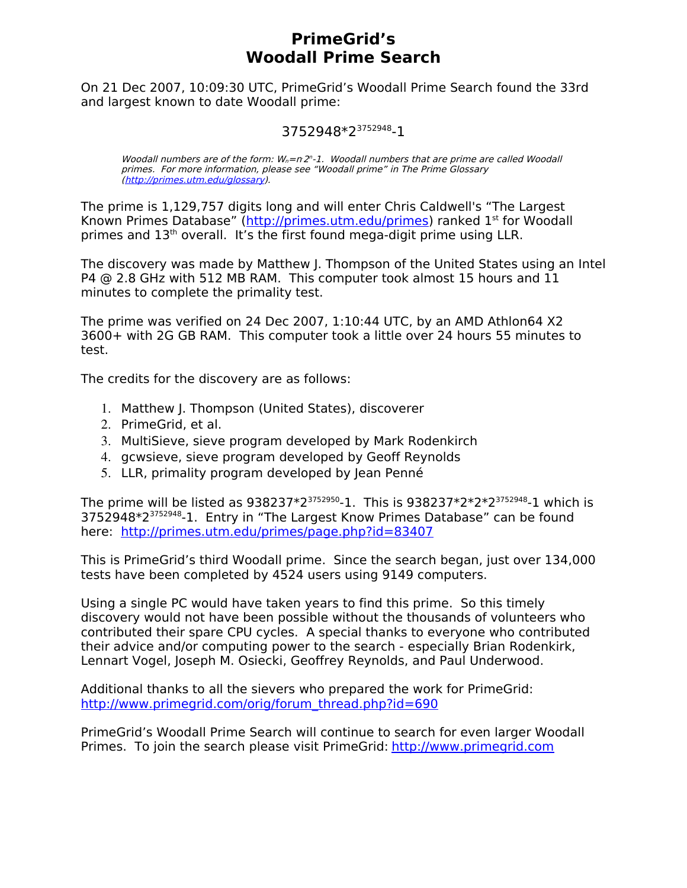## **PrimeGrid's Woodall Prime Search**

On 21 Dec 2007, 10:09:30 UTC, PrimeGrid's Woodall Prime Search found the 33rd and largest known to date Woodall prime:

### 3752948\*2<sup>3752948</sup>-1

Woodall numbers are of the form:  $W_n = n 2<sup>n</sup> - 1$ . Woodall numbers that are prime are called Woodall primes. For more information, please see "Woodall prime" in The Prime Glossary [\(http://primes.utm.edu/glossary\)](http://primes.utm.edu/glossary).

The prime is 1,129,757 digits long and will enter Chris Caldwell's "The Largest Known Primes Database" [\(http://primes.utm.edu/primes\)](http://primes.utm.edu/primes) ranked 1<sup>st</sup> for Woodall primes and 13<sup>th</sup> overall. It's the first found mega-digit prime using LLR.

The discovery was made by Matthew J. Thompson of the United States using an Intel P4 @ 2.8 GHz with 512 MB RAM. This computer took almost 15 hours and 11 minutes to complete the primality test.

The prime was verified on 24 Dec 2007, 1:10:44 UTC, by an AMD Athlon64 X2 3600+ with 2G GB RAM. This computer took a little over 24 hours 55 minutes to test.

The credits for the discovery are as follows:

- 1. Matthew J. Thompson (United States), discoverer
- 2. PrimeGrid, et al.
- 3. MultiSieve, sieve program developed by Mark Rodenkirch
- 4. gcwsieve, sieve program developed by Geoff Reynolds
- 5. LLR, primality program developed by Jean Penné

The prime will be listed as  $938237*2^{3752950}$ -1. This is  $938237*2*2*2^{3752948}$ -1 which is 3752948\*2<sup>3752948</sup>-1. Entry in "The Largest Know Primes Database" can be found here: <http://primes.utm.edu/primes/page.php?id=83407>

This is PrimeGrid's third Woodall prime. Since the search began, just over 134,000 tests have been completed by 4524 users using 9149 computers.

Using a single PC would have taken years to find this prime. So this timely discovery would not have been possible without the thousands of volunteers who contributed their spare CPU cycles. A special thanks to everyone who contributed their advice and/or computing power to the search - especially Brian Rodenkirk, Lennart Vogel, Joseph M. Osiecki, Geoffrey Reynolds, and Paul Underwood.

Additional thanks to all the sievers who prepared the work for PrimeGrid: [http://www.primegrid.com/orig/forum\\_thread.php?id=690](http://www.primegrid.com/orig/forum_thread.php?id=690)

PrimeGrid's Woodall Prime Search will continue to search for even larger Woodall Primes. To join the search please visit PrimeGrid: [http://www.primegrid.com](http://www.primegrid.com/)